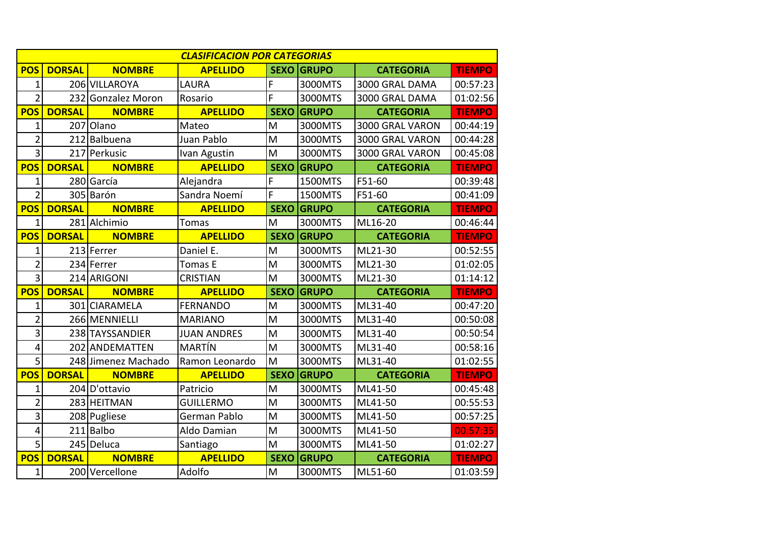| <b>CLASIFICACION POR CATEGORIAS</b> |               |                     |                    |                |              |                  |               |  |
|-------------------------------------|---------------|---------------------|--------------------|----------------|--------------|------------------|---------------|--|
| <b>POS</b>                          | <b>DORSAL</b> | <b>NOMBRE</b>       | <b>APELLIDO</b>    | <b>SEXO</b>    | <b>GRUPO</b> | <b>CATEGORIA</b> | <b>TIEMPO</b> |  |
| 1                                   |               | 206 VILLAROYA       | <b>LAURA</b>       | F              | 3000MTS      | 3000 GRAL DAMA   | 00:57:23      |  |
| $\overline{2}$                      |               | 232 Gonzalez Moron  | Rosario            | $\overline{F}$ | 3000MTS      | 3000 GRAL DAMA   | 01:02:56      |  |
| <b>POS</b>                          | <b>DORSAL</b> | <b>NOMBRE</b>       | <b>APELLIDO</b>    | <b>SEXO</b>    | <b>GRUPO</b> | <b>CATEGORIA</b> | <b>TIEMPO</b> |  |
| 1                                   |               | 207 Olano           | Mateo              | M              | 3000MTS      | 3000 GRAL VARON  | 00:44:19      |  |
| $\overline{2}$                      |               | 212 Balbuena        | Juan Pablo         | M              | 3000MTS      | 3000 GRAL VARON  | 00:44:28      |  |
| $\overline{3}$                      |               | 217 Perkusic        | Ivan Agustin       | M              | 3000MTS      | 3000 GRAL VARON  | 00:45:08      |  |
| <b>POS</b>                          | <b>DORSAL</b> | <b>NOMBRE</b>       | <b>APELLIDO</b>    | <b>SEXO</b>    | <b>GRUPO</b> | <b>CATEGORIA</b> | <b>TIEMPO</b> |  |
| 1                                   |               | 280 García          | Alejandra          | F              | 1500MTS      | F51-60           | 00:39:48      |  |
| $\overline{2}$                      |               | 305 Barón           | Sandra Noemí       | F              | 1500MTS      | F51-60           | 00:41:09      |  |
| <b>POS</b>                          | <b>DORSAL</b> | <b>NOMBRE</b>       | <b>APELLIDO</b>    | <b>SEXO</b>    | <b>GRUPO</b> | <b>CATEGORIA</b> | <b>TIEMPO</b> |  |
| 1                                   |               | 281 Alchimio        | <b>Tomas</b>       | M              | 3000MTS      | ML16-20          | 00:46:44      |  |
| <b>POS</b>                          | <b>DORSAL</b> | <b>NOMBRE</b>       | <b>APELLIDO</b>    | <b>SEXO</b>    | <b>GRUPO</b> | <b>CATEGORIA</b> | <b>TIEMPO</b> |  |
| $\mathbf 1$                         |               | 213 Ferrer          | Daniel E.          | M              | 3000MTS      | ML21-30          | 00:52:55      |  |
| $\overline{2}$                      |               | 234 Ferrer          | <b>Tomas E</b>     | M              | 3000MTS      | ML21-30          | 01:02:05      |  |
| $\overline{3}$                      |               | 214 ARIGONI         | <b>CRISTIAN</b>    | M              | 3000MTS      | ML21-30          | 01:14:12      |  |
| <b>POS</b>                          | <b>DORSAL</b> | <b>NOMBRE</b>       | <b>APELLIDO</b>    | <b>SEXO</b>    | <b>GRUPO</b> | <b>CATEGORIA</b> | <b>TIEMPO</b> |  |
| $\mathbf 1$                         |               | 301 CIARAMELA       | <b>FERNANDO</b>    | M              | 3000MTS      | ML31-40          | 00:47:20      |  |
| $\overline{2}$                      |               | 266 MENNIELLI       | <b>MARIANO</b>     | M              | 3000MTS      | ML31-40          | 00:50:08      |  |
| 3                                   |               | 238 TAYSSANDIER     | <b>JUAN ANDRES</b> | M              | 3000MTS      | ML31-40          | 00:50:54      |  |
| 4                                   |               | 202 ANDEMATTEN      | MARTÍN             | M              | 3000MTS      | ML31-40          | 00:58:16      |  |
| 5                                   |               | 248 Jimenez Machado | Ramon Leonardo     | M              | 3000MTS      | ML31-40          | 01:02:55      |  |
| <b>POS</b>                          | <b>DORSAL</b> | <b>NOMBRE</b>       | <b>APELLIDO</b>    | <b>SEXO</b>    | <b>GRUPO</b> | <b>CATEGORIA</b> | <b>TIEMPO</b> |  |
| 1                                   |               | 204 D'ottavio       | Patricio           | M              | 3000MTS      | ML41-50          | 00:45:48      |  |
| $\overline{2}$                      |               | 283 HEITMAN         | <b>GUILLERMO</b>   | M              | 3000MTS      | ML41-50          | 00:55:53      |  |
| $\overline{3}$                      |               | 208 Pugliese        | German Pablo       | M              | 3000MTS      | ML41-50          | 00:57:25      |  |
| 4                                   |               | 211 Balbo           | Aldo Damian        | M              | 3000MTS      | ML41-50          | 00:57:35      |  |
| 5                                   |               | 245 Deluca          | Santiago           | M              | 3000MTS      | ML41-50          | 01:02:27      |  |
| <b>POS</b>                          | <b>DORSAL</b> | <b>NOMBRE</b>       | <b>APELLIDO</b>    | <b>SEXO</b>    | <b>GRUPO</b> | <b>CATEGORIA</b> | <b>TIEMPO</b> |  |
| $\mathbf 1$                         |               | 200 Vercellone      | Adolfo             | M              | 3000MTS      | ML51-60          | 01:03:59      |  |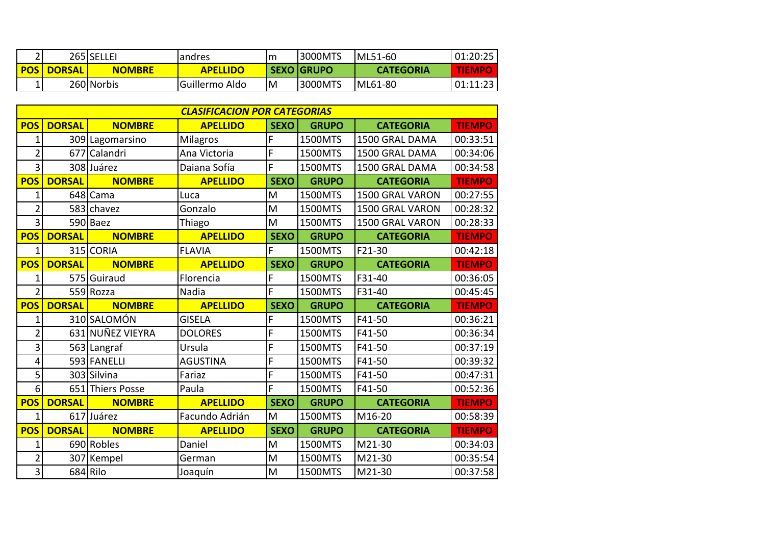|            |               | 265 SELLEI    | andres          | Im | <b>3000MTS</b>    | IML51-60         | 01:20:25      |
|------------|---------------|---------------|-----------------|----|-------------------|------------------|---------------|
| <b>POS</b> | <b>DORSAL</b> | <b>NOMBRE</b> | <b>APELLIDO</b> |    | <b>SEXO GRUPO</b> | <b>CATEGORIA</b> | <b>TIEMPO</b> |
|            |               | 260 Norbis    | Guillermo Aldo  | lМ | <b>3000MTS</b>    | ML61-80          | 01:11:23      |

| <b>CLASIFICACION POR CATEGORIAS</b> |               |                  |                 |             |              |                  |               |  |
|-------------------------------------|---------------|------------------|-----------------|-------------|--------------|------------------|---------------|--|
| <b>POS</b>                          | <b>DORSAL</b> | <b>NOMBRE</b>    | <b>APELLIDO</b> | <b>SEXO</b> | <b>GRUPO</b> | <b>CATEGORIA</b> | <b>TIEMPO</b> |  |
| 1                                   |               | 309 Lagomarsino  | Milagros        | F           | 1500MTS      | 1500 GRAL DAMA   | 00:33:51      |  |
| $\overline{2}$                      |               | 677 Calandri     | Ana Victoria    | F           | 1500MTS      | 1500 GRAL DAMA   | 00:34:06      |  |
| 3                                   |               | 308 Juárez       | Daiana Sofía    | F           | 1500MTS      | 1500 GRAL DAMA   | 00:34:58      |  |
| <b>POS</b>                          | <b>DORSAL</b> | <b>NOMBRE</b>    | <b>APELLIDO</b> | <b>SEXO</b> | <b>GRUPO</b> | <b>CATEGORIA</b> | <b>TIEMPO</b> |  |
| $\mathbf 1$                         |               | 648 Cama         | Luca            | M           | 1500MTS      | 1500 GRAL VARON  | 00:27:55      |  |
| $\overline{2}$                      |               | 583 chavez       | Gonzalo         | M           | 1500MTS      | 1500 GRAL VARON  | 00:28:32      |  |
| 3                                   |               | 590 Baez         | Thiago          | M           | 1500MTS      | 1500 GRAL VARON  | 00:28:33      |  |
| <b>POS</b>                          | <b>DORSAL</b> | <b>NOMBRE</b>    | <b>APELLIDO</b> | <b>SEXO</b> | <b>GRUPO</b> | <b>CATEGORIA</b> | <b>TIEMPO</b> |  |
| $\mathbf 1$                         |               | 315 CORIA        | <b>FLAVIA</b>   | F           | 1500MTS      | F21-30           | 00:42:18      |  |
| <b>POS</b>                          | <b>DORSAL</b> | <b>NOMBRE</b>    | <b>APELLIDO</b> | <b>SEXO</b> | <b>GRUPO</b> | <b>CATEGORIA</b> | <b>TIEMPO</b> |  |
| $\mathbf 1$                         |               | 575 Guiraud      | Florencia       | F           | 1500MTS      | F31-40           | 00:36:05      |  |
| $\overline{2}$                      |               | 559 Rozza        | Nadia           | F           | 1500MTS      | F31-40           | 00:45:45      |  |
| <b>POS</b>                          | <b>DORSAL</b> | <b>NOMBRE</b>    | <b>APELLIDO</b> | <b>SEXO</b> | <b>GRUPO</b> | <b>CATEGORIA</b> | <b>TIEMPO</b> |  |
| 1                                   |               | 310 SALOMÓN      | <b>GISELA</b>   | F           | 1500MTS      | F41-50           | 00:36:21      |  |
| $\overline{2}$                      |               | 631 NUÑEZ VIEYRA | <b>DOLORES</b>  | F           | 1500MTS      | F41-50           | 00:36:34      |  |
| 3                                   |               | 563 Langraf      | Ursula          | F           | 1500MTS      | F41-50           | 00:37:19      |  |
| 4                                   |               | 593 FANELLI      | <b>AGUSTINA</b> | F           | 1500MTS      | F41-50           | 00:39:32      |  |
| 5                                   |               | 303 Silvina      | Fariaz          | F           | 1500MTS      | F41-50           | 00:47:31      |  |
| 6                                   |               | 651 Thiers Posse | Paula           | F           | 1500MTS      | F41-50           | 00:52:36      |  |
| <b>POS</b>                          | <b>DORSAL</b> | <b>NOMBRE</b>    | <b>APELLIDO</b> | <b>SEXO</b> | <b>GRUPO</b> | <b>CATEGORIA</b> | <b>TIEMPO</b> |  |
| $\mathbf 1$                         |               | 617 Juárez       | Facundo Adrián  | M           | 1500MTS      | M16-20           | 00:58:39      |  |
| <b>POS</b>                          | <b>DORSAL</b> | <b>NOMBRE</b>    | <b>APELLIDO</b> | <b>SEXO</b> | <b>GRUPO</b> | <b>CATEGORIA</b> | <b>TIEMPO</b> |  |
| $\mathbf 1$                         |               | 690 Robles       | Daniel          | M           | 1500MTS      | M21-30           | 00:34:03      |  |
| $\overline{2}$                      |               | 307 Kempel       | German          | M           | 1500MTS      | M21-30           | 00:35:54      |  |
| 3                                   |               | 684 Rilo         | Joaquín         | M           | 1500MTS      | M21-30           | 00:37:58      |  |